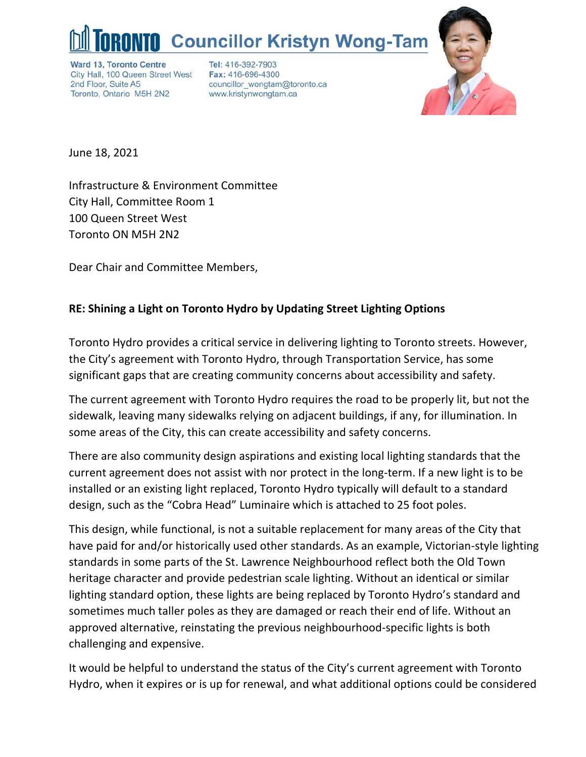## **Councillor Kristyn Wong-Tam**

**Ward 13, Toronto Centre** City Hall, 100 Queen Street West 2nd Floor, Suite A5 Toronto, Ontario M5H 2N2

Tel: 416-392-7903 Fax: 416-696-4300 councillor\_wongtam@toronto.ca www.kristynwongtam.ca



June 18, 2021

Infrastructure & Environment Committee City Hall, Committee Room 1 100 Queen Street West Toronto ON M5H 2N2

Dear Chair and Committee Members,

## **RE: Shining a Light on Toronto Hydro by Updating Street Lighting Options**

Toronto Hydro provides a critical service in delivering lighting to Toronto streets. However, the City's agreement with Toronto Hydro, through Transportation Service, has some significant gaps that are creating community concerns about accessibility and safety.

The current agreement with Toronto Hydro requires the road to be properly lit, but not the sidewalk, leaving many sidewalks relying on adjacent buildings, if any, for illumination. In some areas of the City, this can create accessibility and safety concerns.

There are also community design aspirations and existing local lighting standards that the current agreement does not assist with nor protect in the long-term. If a new light is to be installed or an existing light replaced, Toronto Hydro typically will default to a standard design, such as the "Cobra Head" Luminaire which is attached to 25 foot poles.

This design, while functional, is not a suitable replacement for many areas of the City that have paid for and/or historically used other standards. As an example, Victorian-style lighting standards in some parts of the St. Lawrence Neighbourhood reflect both the Old Town heritage character and provide pedestrian scale lighting. Without an identical or similar lighting standard option, these lights are being replaced by Toronto Hydro's standard and sometimes much taller poles as they are damaged or reach their end of life. Without an approved alternative, reinstating the previous neighbourhood-specific lights is both challenging and expensive.

It would be helpful to understand the status of the City's current agreement with Toronto Hydro, when it expires or is up for renewal, and what additional options could be considered